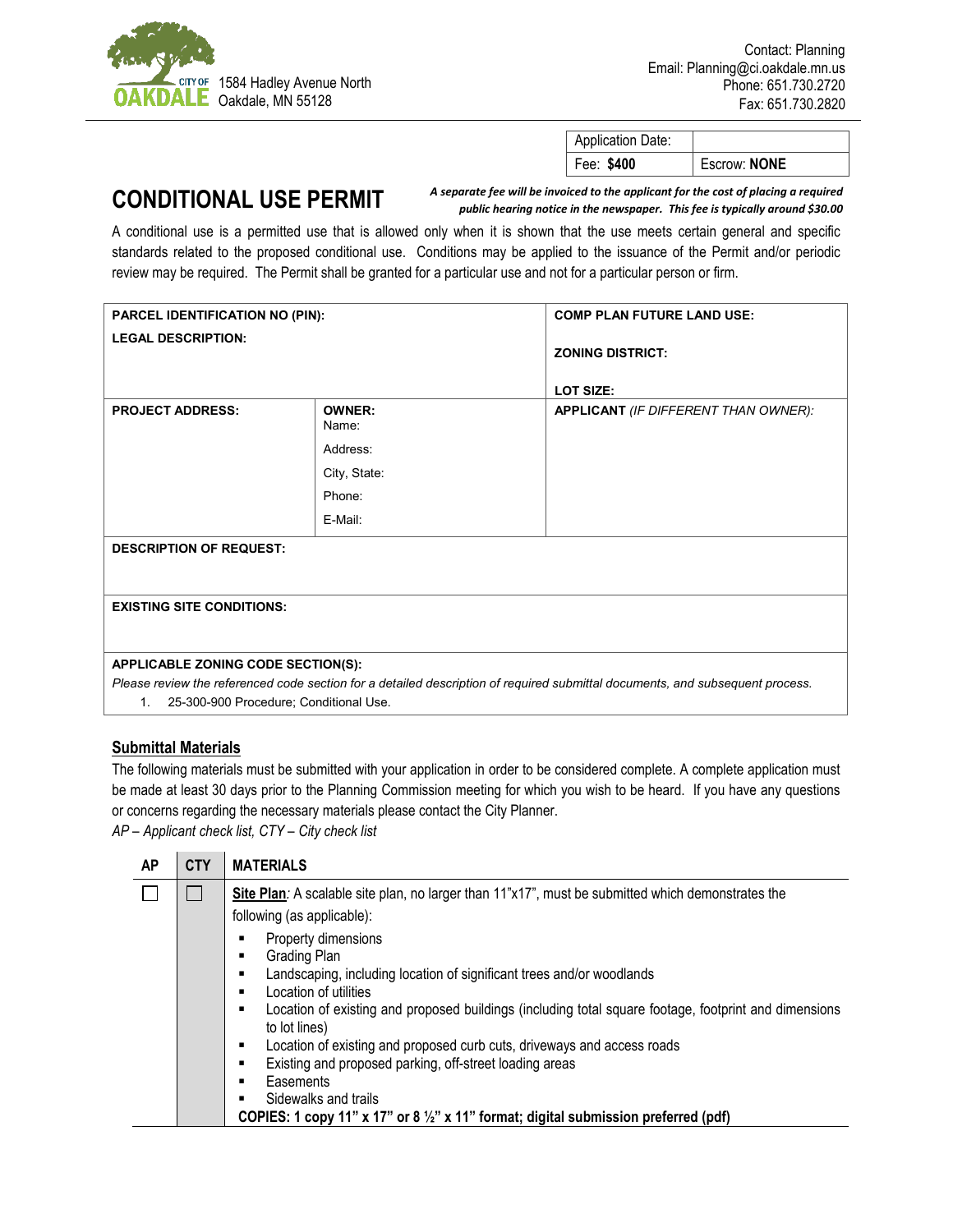

| <b>Application Date:</b> |              |
|--------------------------|--------------|
| Fee: \$400               | Escrow: NONE |

## **CONDITIONAL USE PERMIT**

*A separate fee will be invoiced to the applicant for the cost of placing a required public hearing notice in the newspaper. This fee is typically around \$30.00*

A conditional use is a permitted use that is allowed only when it is shown that the use meets certain general and specific standards related to the proposed conditional use. Conditions may be applied to the issuance of the Permit and/or periodic review may be required. The Permit shall be granted for a particular use and not for a particular person or firm.

| PARCEL IDENTIFICATION NO (PIN):                                                                                                                                     |                        | <b>COMP PLAN FUTURE LAND USE:</b>           |  |  |
|---------------------------------------------------------------------------------------------------------------------------------------------------------------------|------------------------|---------------------------------------------|--|--|
| <b>LEGAL DESCRIPTION:</b>                                                                                                                                           |                        | <b>ZONING DISTRICT:</b>                     |  |  |
|                                                                                                                                                                     |                        | LOT SIZE:                                   |  |  |
| <b>PROJECT ADDRESS:</b>                                                                                                                                             | <b>OWNER:</b><br>Name: | <b>APPLICANT</b> (IF DIFFERENT THAN OWNER): |  |  |
|                                                                                                                                                                     | Address:               |                                             |  |  |
|                                                                                                                                                                     | City, State:           |                                             |  |  |
|                                                                                                                                                                     | Phone:                 |                                             |  |  |
|                                                                                                                                                                     | E-Mail:                |                                             |  |  |
| <b>DESCRIPTION OF REQUEST:</b>                                                                                                                                      |                        |                                             |  |  |
| <b>EXISTING SITE CONDITIONS:</b>                                                                                                                                    |                        |                                             |  |  |
|                                                                                                                                                                     |                        |                                             |  |  |
| APPLICABLE ZONING CODE SECTION(S):<br>Please review the referenced code section for a detailed description of required submittal documents, and subsequent process. |                        |                                             |  |  |
| 25-300-900 Procedure; Conditional Use.<br>$1_{-}$                                                                                                                   |                        |                                             |  |  |

## **Submittal Materials**

The following materials must be submitted with your application in order to be considered complete. A complete application must be made at least 30 days prior to the Planning Commission meeting for which you wish to be heard. If you have any questions or concerns regarding the necessary materials please contact the City Planner.

*AP – Applicant check list, CTY – City check list*

| AP | <b>CTY</b> | <b>MATERIALS</b>                                                                                                                                                                                                                                          |
|----|------------|-----------------------------------------------------------------------------------------------------------------------------------------------------------------------------------------------------------------------------------------------------------|
|    |            | Site Plan: A scalable site plan, no larger than 11"x17", must be submitted which demonstrates the<br>following (as applicable):<br>Property dimensions<br>Grading Plan<br>п<br>Landscaping, including location of significant trees and/or woodlands<br>п |
|    |            | Location of utilities<br>п<br>Location of existing and proposed buildings (including total square footage, footprint and dimensions<br>٠                                                                                                                  |
|    |            | to lot lines)<br>Location of existing and proposed curb cuts, driveways and access roads<br>٠<br>Existing and proposed parking, off-street loading areas<br>٠                                                                                             |
|    |            | Easements<br>п<br>Sidewalks and trails<br>п<br>COPIES: 1 copy 11" x 17" or 8 1/2" x 11" format; digital submission preferred (pdf)                                                                                                                        |